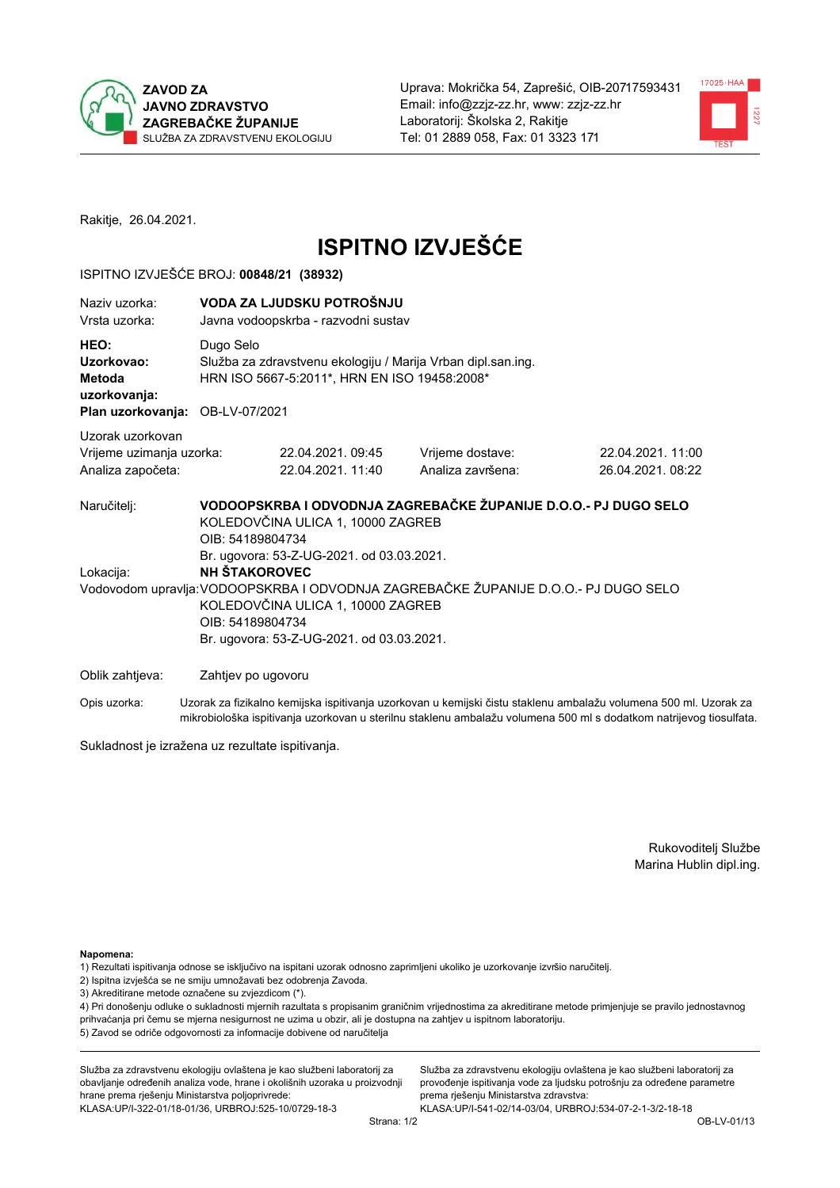



Rakitje, 26.04.2021.

# **ISPITNO IZVJEŠĆE**

### ISPITNO IZVJEŠĆE BROJ: 00848/21 (38932)

| Naziv uzorka:<br>Vrsta uzorka:                                                  | VODA ZA LJUDSKU POTROŠNJU<br>Javna vodoopskrba - razvodni sustav                                                                                                                                                                 |                                                                                                                                                        |                                                                                                                  |  |  |  |
|---------------------------------------------------------------------------------|----------------------------------------------------------------------------------------------------------------------------------------------------------------------------------------------------------------------------------|--------------------------------------------------------------------------------------------------------------------------------------------------------|------------------------------------------------------------------------------------------------------------------|--|--|--|
| HEO:<br>Uzorkovao:<br>Metoda<br>uzorkovanja:<br>Plan uzorkovanja: OB-LV-07/2021 | Dugo Selo<br>Služba za zdravstvenu ekologiju / Marija Vrban dipl.san.ing.<br>HRN ISO 5667-5:2011*, HRN EN ISO 19458:2008*                                                                                                        |                                                                                                                                                        |                                                                                                                  |  |  |  |
| Uzorak uzorkovan<br>Vrijeme uzimanja uzorka:<br>Analiza započeta:               | 22.04.2021.09:45<br>22.04.2021.11:40                                                                                                                                                                                             | Vrijeme dostave:<br>Analiza završena:                                                                                                                  | 22.04.2021.11:00<br>26.04.2021.08:22                                                                             |  |  |  |
| Naručitelj:<br>Lokacija:                                                        | KOLEDOVČINA ULICA 1, 10000 ZAGREB<br>OIB: 54189804734<br>Br. ugovora: 53-Z-UG-2021. od 03.03.2021.<br><b>NH STAKOROVEC</b><br>KOLEDOVČINA ULICA 1, 10000 ZAGREB<br>OIB: 54189804734<br>Br. ugovora: 53-Z-UG-2021. od 03.03.2021. | VODOOPSKRBA I ODVODNJA ZAGREBAČKE ŽUPANIJE D.O.O.- PJ DUGO SELO<br>Vodovodom upravlja: VODOOPSKRBA I ODVODNJA ZAGREBAČKE ŽUPANIJE D.O.O.- PJ DUGO SELO |                                                                                                                  |  |  |  |
| Oblik zahtjeva:                                                                 | Zahtjev po ugovoru                                                                                                                                                                                                               |                                                                                                                                                        |                                                                                                                  |  |  |  |
| Opis uzorka:                                                                    |                                                                                                                                                                                                                                  |                                                                                                                                                        | Uzorak za fizikalno kemijska ispitivanja uzorkovan u kemijski čistu staklenu ambalažu volumena 500 ml. Uzorak za |  |  |  |

Sukladnost je izražena uz rezultate ispitivanja.

Rukovoditelj Službe Marina Hublin dipl.ing.

Napomena:

1) Rezultati ispitivanja odnose se isključivo na ispitani uzorak odnosno zaprimljeni ukoliko je uzorkovanje izvršio naručitelj.

- 2) Ispitna izvješća se ne smiju umnožavati bez odobrenja Zavoda.
- 3) Akreditirane metode označene su zvjezdicom (\*).

4) Pri donošenju odluke o sukladnosti mjernih razultata s propisanim graničnim vrijednostima za akreditirane metode primjenjuje se pravilo jednostavnog prihvaćanja pri čemu se mjerna nesigurnost ne uzima u obzir, ali je dostupna na zahtjev u ispitnom laboratoriju. 5) Zavod se odriče odgovornosti za informacije dobivene od naručitelja

mikrobiološka ispitivanja uzorkovan u sterilnu staklenu ambalažu volumena 500 ml s dodatkom natrijevog tiosulfata.

Služba za zdravstvenu ekologiju ovlaštena je kao službeni laboratorij za obavljanje određenih analiza vode, hrane i okolišnih uzoraka u proizvodnji hrane prema rješenju Ministarstva poljoprivrede: KLASA:UP/I-322-01/18-01/36, URBROJ:525-10/0729-18-3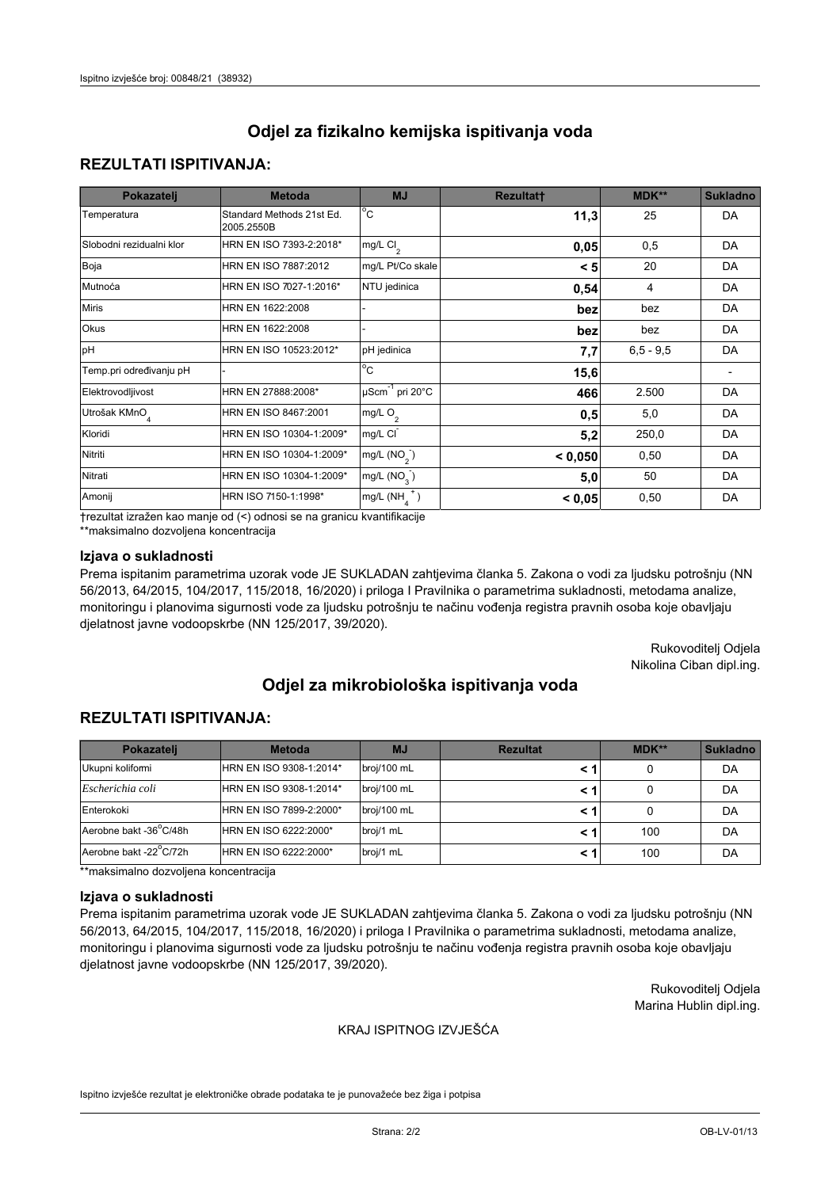# **REZULTATI ISPITIVANJA:**

| Pokazatelj                | <b>Metoda</b>                           | <b>MJ</b>                   | <b>Rezultatt</b> | MDK**       | <b>Sukladno</b> |
|---------------------------|-----------------------------------------|-----------------------------|------------------|-------------|-----------------|
| Temperatura               | Standard Methods 21st Ed.<br>2005.2550B | $^{\circ}$ C                | 11,3             | 25          | DA              |
| Slobodni rezidualni klor  | HRN EN ISO 7393-2:2018*                 | $mg/L$ Cl <sub>2</sub>      | 0,05             | 0,5         | DA              |
| Boja                      | HRN EN ISO 7887:2012                    | mg/L Pt/Co skale            | < 5              | 20          | DA              |
| Mutnoća                   | HRN EN ISO 7027-1:2016*                 | NTU jedinica                | 0,54             | 4           | DA              |
| <b>Miris</b>              | HRN EN 1622:2008                        |                             | bez              | bez         | DA              |
| Okus                      | HRN EN 1622:2008                        |                             | bez              | bez         | DA              |
| pH                        | HRN EN ISO 10523:2012*                  | pH jedinica                 | 7,7              | $6,5 - 9,5$ | DA              |
| Temp.pri određivanju pH   |                                         | $\overline{c}$              | 15,6             |             |                 |
| Elektrovodljivost         | HRN EN 27888:2008*                      | µScm <sup>-1</sup> pri 20°C | 466              | 2.500       | DA              |
| Utrošak KMnO <sub>4</sub> | HRN EN ISO 8467:2001                    | mg/L O <sub>2</sub>         | 0,5              | 5,0         | DA              |
| Kloridi                   | HRN EN ISO 10304-1:2009*                | mg/L CI                     | 5,2              | 250,0       | DA              |
| Nitriti                   | HRN EN ISO 10304-1:2009*                | mg/L $(NO2)$                | < 0,050          | 0,50        | DA              |
| Nitrati                   | HRN EN ISO 10304-1:2009*                | mg/L (NO <sub>3</sub> )     | 5,0              | 50          | DA              |
| Amonij                    | HRN ISO 7150-1:1998*                    | $mg/L(NH_A^+)$              | < 0,05           | 0,50        | DA              |

trezultat izražen kao manje od (<) odnosi se na granicu kvantifikacije

\*\*maksimalno dozvoljena koncentracija

## Izjava o sukladnosti

Prema ispitanim parametrima uzorak vode JE SUKLADAN zahtjevima članka 5. Zakona o vodi za ljudsku potrošnju (NN 56/2013, 64/2015, 104/2017, 115/2018, 16/2020) i priloga I Pravilnika o parametrima sukladnosti, metodama analize, monitoringu i planovima sigurnosti vode za ljudsku potrošnju te načinu vođenja registra pravnih osoba koje obavljaju djelatnost javne vodoopskrbe (NN 125/2017, 39/2020).

> Rukovoditelj Odjela Nikolina Ciban dipl.ing.

# Odjel za mikrobiološka ispitivanja voda

## **REZULTATI ISPITIVANJA:**

| Pokazatelj             | <b>Metoda</b>           | <b>MJ</b>   | <b>Rezultat</b> | $MDK**$ | <b>Sukladno</b> |
|------------------------|-------------------------|-------------|-----------------|---------|-----------------|
| Ukupni kolifomi        | HRN EN ISO 9308-1:2014* | broj/100 mL |                 |         | DA              |
| Escherichia coli       | HRN EN ISO 9308-1:2014* | broj/100 mL |                 |         | DA              |
| Enterokoki             | HRN EN ISO 7899-2:2000* | broj/100 mL |                 |         | DA              |
| Aerobne bakt -36°C/48h | HRN EN ISO 6222:2000*   | broj/1 mL   |                 | 100     | DA              |
| Aerobne bakt -22°C/72h | HRN EN ISO 6222:2000*   | broj/1 mL   |                 | 100     | DA              |

\*\*maksimalno dozvoljena koncentracija

#### Izjava o sukladnosti

Prema ispitanim parametrima uzorak vode JE SUKLADAN zahtjevima članka 5. Zakona o vodi za ljudsku potrošnju (NN 56/2013, 64/2015, 104/2017, 115/2018, 16/2020) i priloga I Pravilnika o parametrima sukladnosti, metodama analize, monitoringu i planovima sigurnosti vode za ljudsku potrošnju te načinu vođenja registra pravnih osoba koje obavljaju djelatnost javne vodoopskrbe (NN 125/2017, 39/2020).

> Rukovoditelj Odjela Marina Hublin dipl.ing.

#### KRAJ ISPITNOG IZVJEŠĆA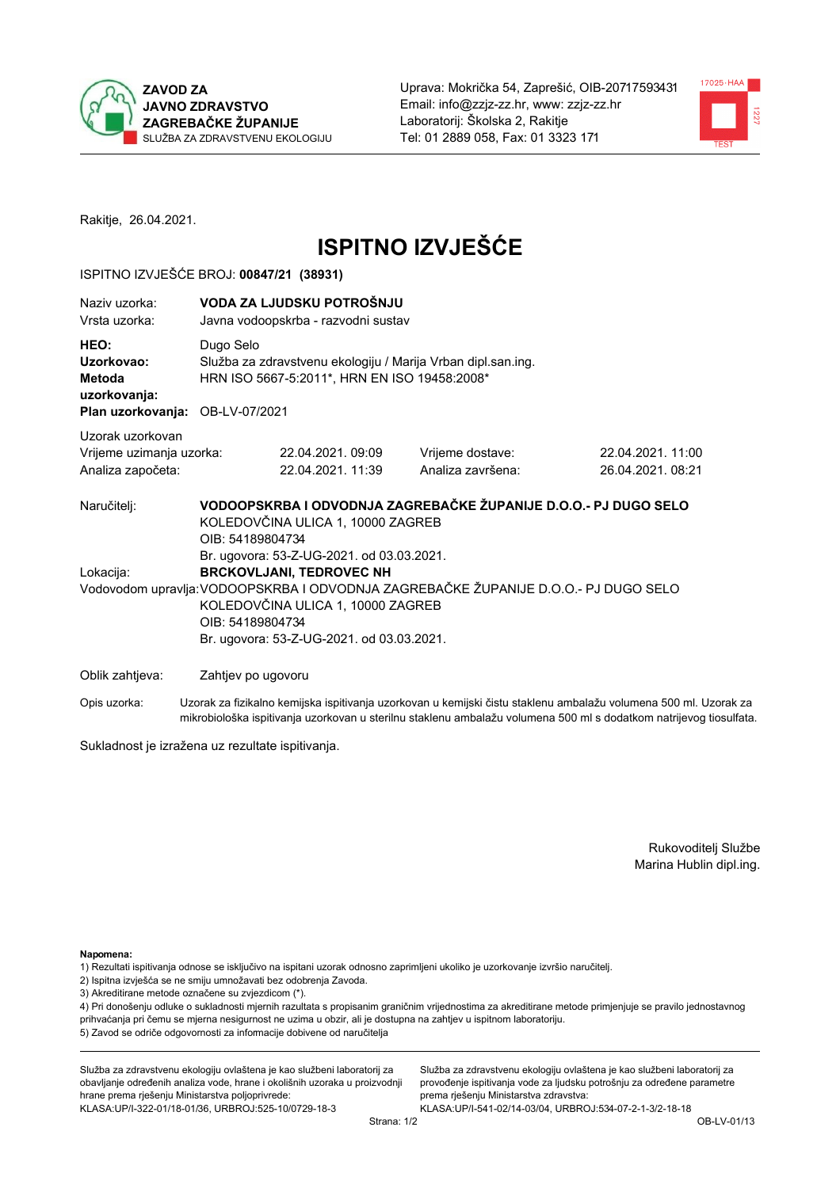



Rakitje, 26.04.2021.

# **ISPITNO IZVJEŠĆE**

### ISPITNO IZVJEŠĆE BROJ: 00847/21 (38931)

| Naziv uzorka:<br>Vrsta uzorka:                                                  | VODA ZA LJUDSKU POTROŠNJU<br>Javna vodoopskrba - razvodni sustav                                                                                                                                                                                                          |                                                                                                              |                                                                 |                                      |  |  |
|---------------------------------------------------------------------------------|---------------------------------------------------------------------------------------------------------------------------------------------------------------------------------------------------------------------------------------------------------------------------|--------------------------------------------------------------------------------------------------------------|-----------------------------------------------------------------|--------------------------------------|--|--|
| HEO:<br>Uzorkovao:<br>Metoda<br>uzorkovanja:<br>Plan uzorkovanja: OB-LV-07/2021 | Dugo Selo                                                                                                                                                                                                                                                                 | Služba za zdravstvenu ekologiju / Marija Vrban dipl.san.ing.<br>HRN ISO 5667-5:2011*, HRN EN ISO 19458:2008* |                                                                 |                                      |  |  |
|                                                                                 |                                                                                                                                                                                                                                                                           |                                                                                                              |                                                                 |                                      |  |  |
| Uzorak uzorkovan<br>Vrijeme uzimanja uzorka:<br>Analiza započeta:               |                                                                                                                                                                                                                                                                           | 22.04.2021.09:09<br>22.04.2021.11:39                                                                         | Vrijeme dostave:<br>Analiza završena:                           | 22.04.2021.11:00<br>26.04.2021.08:21 |  |  |
| Naručitelj:                                                                     | OIB: 54189804734                                                                                                                                                                                                                                                          | KOLEDOVČINA ULICA 1, 10000 ZAGREB                                                                            | VODOOPSKRBA I ODVODNJA ZAGREBAČKE ŽUPANIJE D.O.O.- PJ DUGO SELO |                                      |  |  |
| Lokacija:                                                                       | Br. ugovora: 53-Z-UG-2021. od 03.03.2021.<br><b>BRCKOVLJANI, TEDROVEC NH</b><br>Vodovodom upravlja: VODOOPSKRBA I ODVODNJA ZAGREBAČKE ŽUPANIJE D.O.O.- PJ DUGO SELO<br>KOLEDOVČINA ULICA 1, 10000 ZAGREB<br>OIB: 54189804734<br>Br. ugovora: 53-Z-UG-2021. od 03.03.2021. |                                                                                                              |                                                                 |                                      |  |  |
| Oblik zahtjeva:                                                                 | Zahtjev po ugovoru                                                                                                                                                                                                                                                        |                                                                                                              |                                                                 |                                      |  |  |

Opis uzorka: Uzorak za fizikalno kemijska ispitivanja uzorkovan u kemijski čistu staklenu ambalažu volumena 500 ml. Uzorak za mikrobiološka ispitivanja uzorkovan u sterilnu staklenu ambalažu volumena 500 ml s dodatkom natrijevog tiosulfata.

Sukladnost je izražena uz rezultate ispitivanja.

Rukovoditelj Službe Marina Hublin dipl.ing.

Napomena:

1) Rezultati ispitivanja odnose se isključivo na ispitani uzorak odnosno zaprimljeni ukoliko je uzorkovanje izvršio naručitelj.

- 2) Ispitna izvješća se ne smiju umnožavati bez odobrenja Zavoda.
- 3) Akreditirane metode označene su zvjezdicom (\*).

4) Pri donošenju odluke o sukladnosti mjernih razultata s propisanim graničnim vrijednostima za akreditirane metode primjenjuje se pravilo jednostavnog prihvaćanja pri čemu se mjerna nesigurnost ne uzima u obzir, ali je dostupna na zahtjev u ispitnom laboratoriju. 5) Zavod se odriče odgovornosti za informacije dobivene od naručitelja

Služba za zdravstvenu ekologiju ovlaštena je kao službeni laboratorij za obavljanje određenih analiza vode, hrane i okolišnih uzoraka u proizvodnji hrane prema rješenju Ministarstva poljoprivrede: KLASA: UP/I-322-01/18-01/36, URBROJ: 525-10/0729-18-3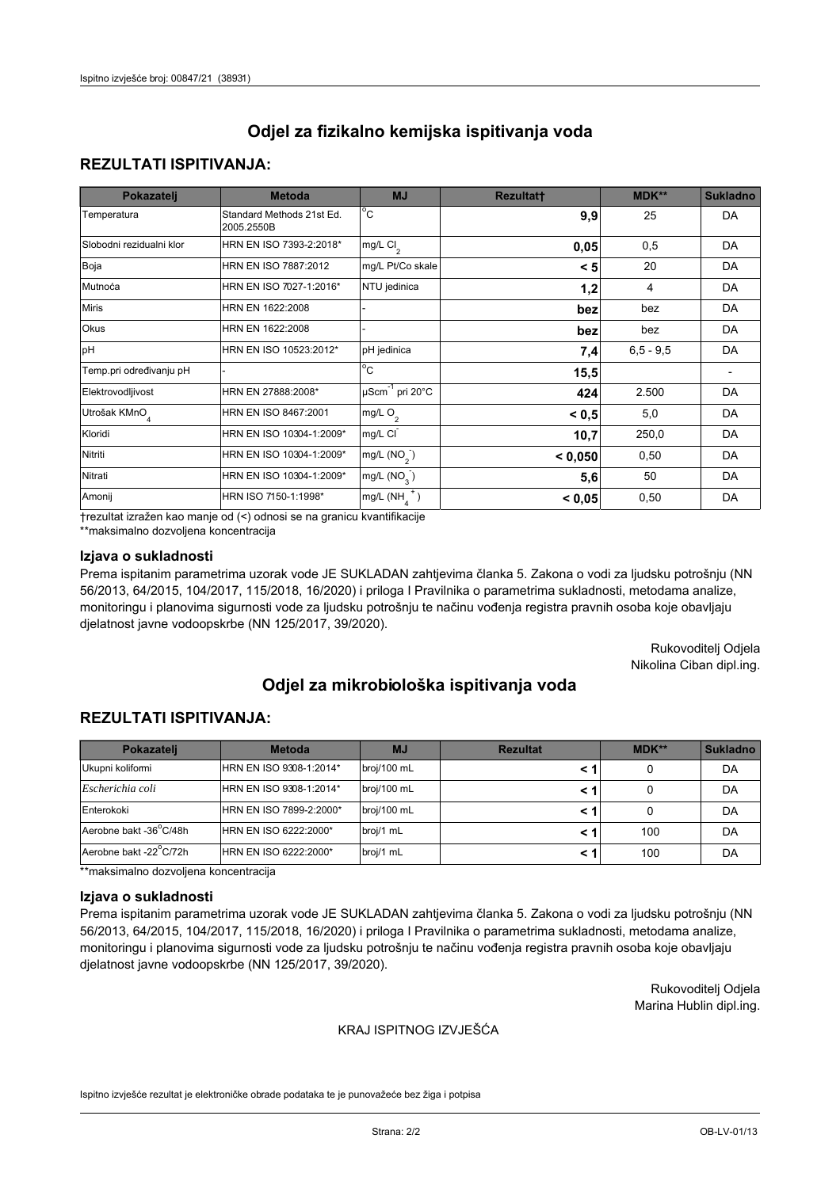# **REZULTATI ISPITIVANJA:**

| Pokazatelj                | <b>Metoda</b>                           | <b>MJ</b>                        | <b>Rezultatt</b> | MDK**       | <b>Sukladno</b> |
|---------------------------|-----------------------------------------|----------------------------------|------------------|-------------|-----------------|
| Temperatura               | Standard Methods 21st Ed.<br>2005.2550B | $\overline{^{\circ}C}$           | 9,9              | 25          | DA              |
| Slobodni rezidualni klor  | HRN EN ISO 7393-2:2018*                 | mg/L $Cl2$                       | 0,05             | 0,5         | DA              |
| Boja                      | HRN EN ISO 7887:2012                    | mg/L Pt/Co skale                 | < 5              | 20          | DA              |
| Mutnoća                   | HRN EN ISO 7027-1:2016*                 | NTU jedinica                     | 1,2              | 4           | DA              |
| <b>Miris</b>              | HRN EN 1622:2008                        |                                  | bez              | bez         | DA              |
| Okus                      | HRN EN 1622:2008                        |                                  | bez              | bez         | DA              |
| pH                        | HRN EN ISO 10523:2012*                  | pH jedinica                      | 7,4              | $6.5 - 9.5$ | DA              |
| Temp.pri određivanju pH   |                                         | $\rm ^{\circ}c$                  | 15,5             |             |                 |
| Elektrovodljivost         | HRN EN 27888:2008*                      | $\mu$ Scm <sup>-1</sup> pri 20°C | 424              | 2.500       | DA              |
| Utrošak KMnO <sub>4</sub> | HRN EN ISO 8467:2001                    | mg/L O <sub>2</sub>              | < 0.5            | 5,0         | DA              |
| Kloridi                   | HRN EN ISO 10304-1:2009*                | mg/L CI                          | 10,7             | 250,0       | DA              |
| Nitriti                   | HRN EN ISO 10304-1:2009*                | mg/L $(NO2)$                     | < 0.050          | 0,50        | DA              |
| Nitrati                   | HRN EN ISO 10304-1:2009*                | mg/L (NO <sub>3</sub> )          | 5,6              | 50          | DA              |
| Amonij                    | HRN ISO 7150-1:1998*                    | mg/L $(NH_{\lambda}^{\dagger})$  | < 0,05           | 0,50        | DA              |

trezultat izražen kao manje od (<) odnosi se na granicu kvantifikacije

\*\*maksimalno dozvoljena koncentracija

## Izjava o sukladnosti

Prema ispitanim parametrima uzorak vode JE SUKLADAN zahtjevima članka 5. Zakona o vodi za ljudsku potrošnju (NN 56/2013, 64/2015, 104/2017, 115/2018, 16/2020) i priloga I Pravilnika o parametrima sukladnosti, metodama analize, monitoringu i planovima sigurnosti vode za ljudsku potrošnju te načinu vođenja registra pravnih osoba koje obavljaju djelatnost javne vodoopskrbe (NN 125/2017, 39/2020).

> Rukovoditelj Odjela Nikolina Ciban dipl.ing.

# Odjel za mikrobiološka ispitivanja voda

# **REZULTATI ISPITIVANJA:**

| Pokazateli             | <b>Metoda</b>           | <b>MJ</b>   | <b>Rezultat</b> | MDK** | <b>Sukladno</b> |
|------------------------|-------------------------|-------------|-----------------|-------|-----------------|
| Ukupni kolifomi        | HRN EN ISO 9308-1:2014* | broj/100 mL |                 |       | DA              |
| Escherichia coli       | HRN EN ISO 9308-1:2014* | broj/100 mL |                 |       | DA              |
| Enterokoki             | HRN EN ISO 7899-2:2000* | broj/100 mL |                 |       | DA              |
| Aerobne bakt -36°C/48h | HRN EN ISO 6222:2000*   | broj/1 mL   |                 | 100   | DA              |
| Aerobne bakt -22°C/72h | HRN EN ISO 6222:2000*   | broj/1 mL   |                 | 100   | DA              |

\*\*maksimalno dozvoljena koncentracija

#### Izjava o sukladnosti

Prema ispitanim parametrima uzorak vode JE SUKLADAN zahtjevima članka 5. Zakona o vodi za ljudsku potrošnju (NN 56/2013, 64/2015, 104/2017, 115/2018, 16/2020) i priloga I Pravilnika o parametrima sukladnosti, metodama analize, monitoringu i planovima sigurnosti vode za ljudsku potrošnju te načinu vođenja registra pravnih osoba koje obavljaju djelatnost javne vodoopskrbe (NN 125/2017, 39/2020).

> Rukovoditelj Odjela Marina Hublin dipl.ing.

#### KRAJ ISPITNOG IZVJEŠĆA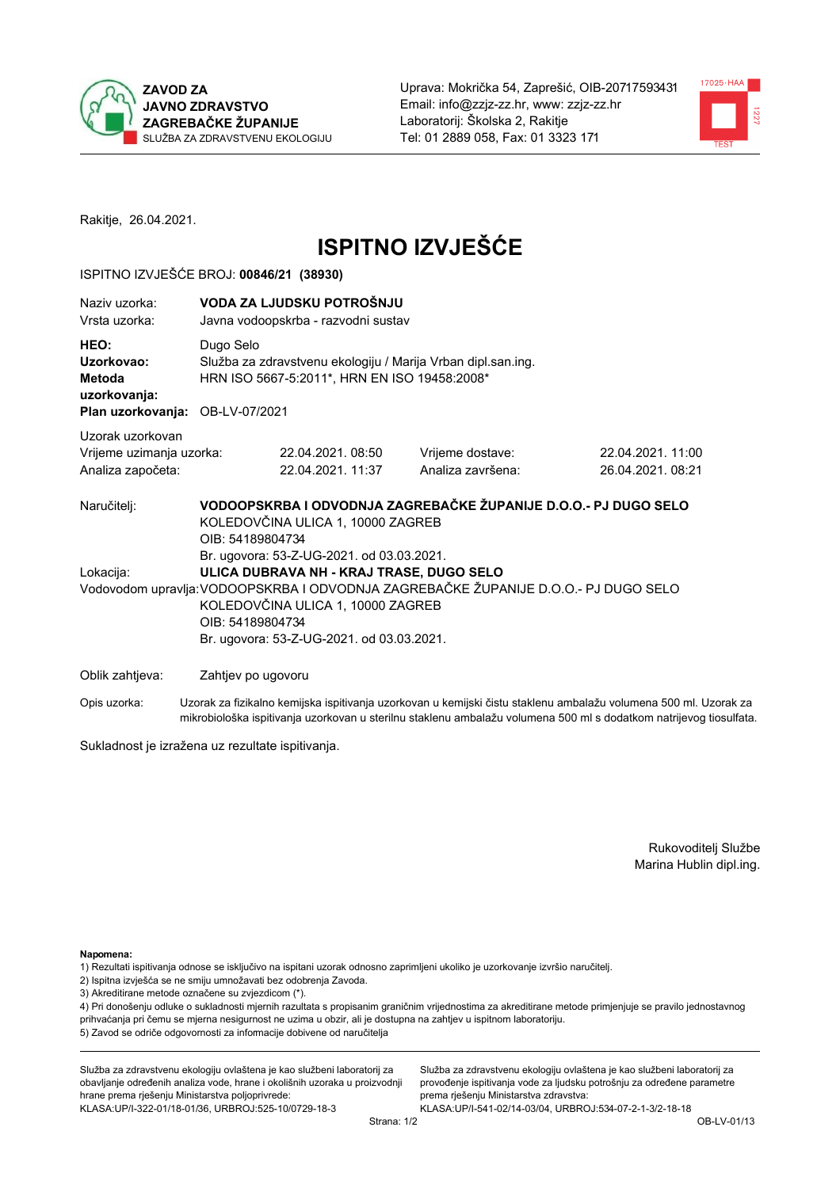



Rakitje, 26.04.2021.

# **ISPITNO IZVJEŠĆE**

### ISPITNO IZVJEŠĆE BROJ: 00846/21 (38930)

| Naziv uzorka:<br>Vrsta uzorka:                                                  |                                        | VODA ZA LJUDSKU POTROŠNJU<br>Javna vodoopskrba - razvodni sustav                                                                                                                                                                                                                                         |                                       |                                      |  |  |  |
|---------------------------------------------------------------------------------|----------------------------------------|----------------------------------------------------------------------------------------------------------------------------------------------------------------------------------------------------------------------------------------------------------------------------------------------------------|---------------------------------------|--------------------------------------|--|--|--|
| HEO:<br>Uzorkovao:<br>Metoda<br>uzorkovanja:<br>Plan uzorkovanja: OB-LV-07/2021 | Dugo Selo                              | Služba za zdravstvenu ekologiju / Marija Vrban dipl.san.ing.<br>HRN ISO 5667-5:2011*, HRN EN ISO 19458:2008*                                                                                                                                                                                             |                                       |                                      |  |  |  |
| Uzorak uzorkovan<br>Vrijeme uzimanja uzorka:<br>Analiza započeta:               |                                        | 22.04.2021.08:50<br>22.04.2021, 11:37                                                                                                                                                                                                                                                                    | Vrijeme dostave:<br>Analiza završena: | 22.04.2021.11:00<br>26.04.2021.08:21 |  |  |  |
| Naručitelj:<br>Lokacija:                                                        | KOLEDOVČINA ULICA 1, 10000 ZAGREB      | VODOOPSKRBA I ODVODNJA ZAGREBAČKE ŽUPANIJE D.O.O.- PJ DUGO SELO<br>KOLEDOVČINA ULICA 1, 10000 ZAGREB<br>OIB: 54189804734<br>Br. ugovora: 53-Z-UG-2021. od 03.03.2021.<br>ULICA DUBRAVA NH - KRAJ TRASE, DUGO SELO<br>Vodovodom upravlja: VODOOPSKRBA I ODVODNJA ZAGREBAČKE ŽUPANIJE D.O.O.- PJ DUGO SELO |                                       |                                      |  |  |  |
| Oblik zahtjeva:                                                                 | OIB: 54189804734<br>Zahtjev po ugovoru | Br. ugovora: 53-Z-UG-2021. od 03.03.2021.                                                                                                                                                                                                                                                                |                                       |                                      |  |  |  |

Opis uzorka: Uzorak za fizikalno kemijska ispitivanja uzorkovan u kemijski čistu staklenu ambalažu volumena 500 ml. Uzorak za mikrobiološka ispitivanja uzorkovan u sterilnu staklenu ambalažu volumena 500 ml s dodatkom natrijevog tiosulfata.

Sukladnost je izražena uz rezultate ispitivanja.

Rukovoditelj Službe Marina Hublin dipl.ing.

Napomena:

- 1) Rezultati ispitivanja odnose se isključivo na ispitani uzorak odnosno zaprimljeni ukoliko je uzorkovanje izvršio naručitelj.
- 2) Ispitna izvješća se ne smiju umnožavati bez odobrenja Zavoda.
- 3) Akreditirane metode označene su zvjezdicom (\*).

4) Pri donošenju odluke o sukladnosti mjernih razultata s propisanim graničnim vrijednostima za akreditirane metode primjenjuje se pravilo jednostavnog prihvaćanja pri čemu se mjerna nesigurnost ne uzima u obzir, ali je dostupna na zahtjev u ispitnom laboratoriju. 5) Zavod se odriče odgovornosti za informacije dobivene od naručitelja

Služba za zdravstvenu ekologiju ovlaštena je kao službeni laboratorij za obavljanje određenih analiza vode, hrane i okolišnih uzoraka u proizvodnji hrane prema rješenju Ministarstva poljoprivrede: KLASA:UP/I-322-01/18-01/36, URBROJ:525-10/0729-18-3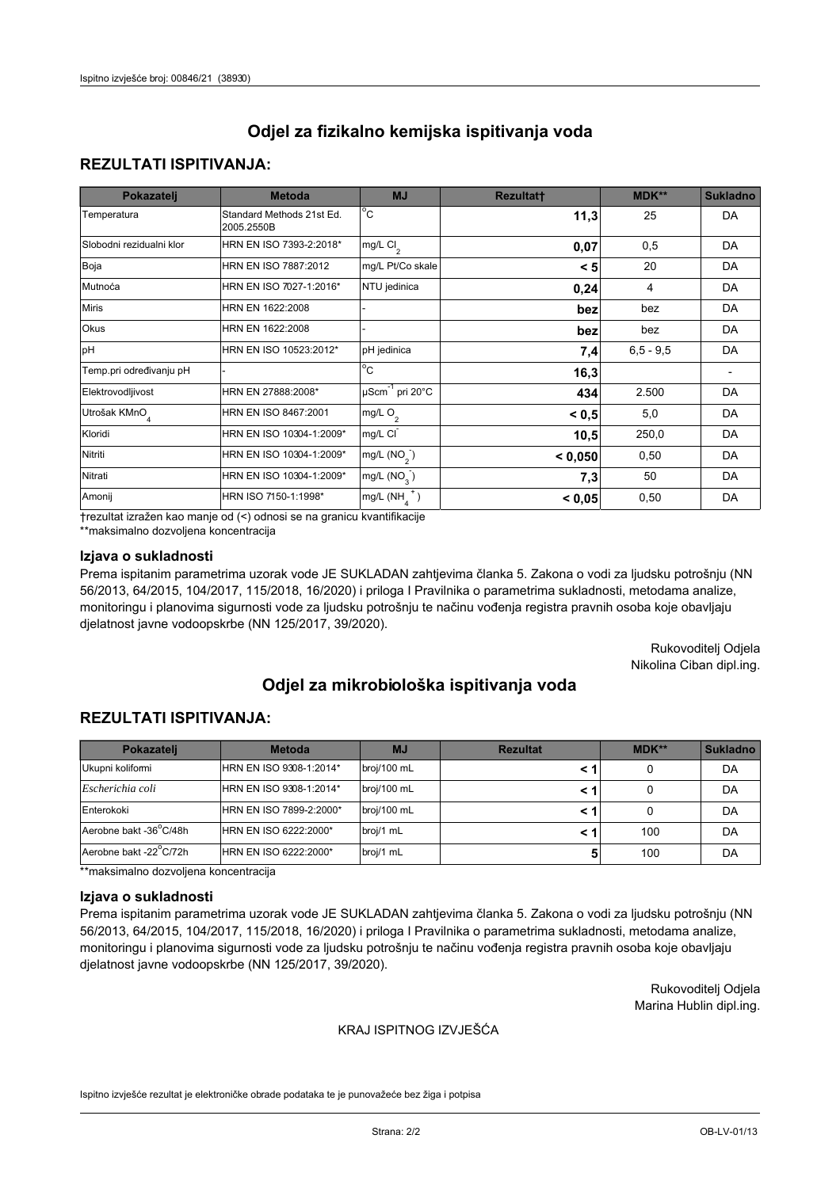# **REZULTATI ISPITIVANJA:**

| Pokazatelj                | <b>Metoda</b>                           | <b>MJ</b>                        | <b>Rezultatt</b> | MDK**       | <b>Sukladno</b> |
|---------------------------|-----------------------------------------|----------------------------------|------------------|-------------|-----------------|
| Temperatura               | Standard Methods 21st Ed.<br>2005.2550B | $^{\circ}$ C                     | 11,3             | 25          | DA              |
| Slobodni rezidualni klor  | HRN EN ISO 7393-2:2018*                 | mg/L $Cl2$                       | 0,07             | 0,5         | DA              |
| Boja                      | HRN EN ISO 7887:2012                    | mg/L Pt/Co skale                 | < 5              | 20          | DA              |
| Mutnoća                   | HRN EN ISO 7027-1:2016*                 | NTU jedinica                     | 0,24             | 4           | DA              |
| <b>Miris</b>              | HRN EN 1622:2008                        |                                  | bez              | bez         | DA              |
| Okus                      | HRN EN 1622:2008                        |                                  | bez              | bez         | DA              |
| pH                        | HRN EN ISO 10523:2012*                  | pH jedinica                      | 7,4              | $6,5 - 9,5$ | DA              |
| Temp.pri određivanju pH   |                                         | $\overline{c}$                   | 16,3             |             |                 |
| Elektrovodljivost         | HRN EN 27888:2008*                      | $\mu$ Scm <sup>-1</sup> pri 20°C | 434              | 2.500       | DA              |
| Utrošak KMnO <sub>4</sub> | HRN EN ISO 8467:2001                    | mg/L O <sub>2</sub>              | < 0.5            | 5,0         | DA              |
| Kloridi                   | HRN EN ISO 10304-1:2009*                | mg/L CI                          | 10,5             | 250,0       | DA              |
| Nitriti                   | HRN EN ISO 10304-1:2009*                | mg/L $(NO2)$                     | < 0,050          | 0,50        | DA              |
| Nitrati                   | HRN EN ISO 10304-1:2009*                | mg/L $(NO3)$                     | 7,3              | 50          | DA              |
| Amonij                    | HRN ISO 7150-1:1998*                    | $mg/L(NH_A^+)$                   | < 0,05           | 0,50        | DA              |

trezultat izražen kao manje od (<) odnosi se na granicu kvantifikacije

\*\*maksimalno dozvoljena koncentracija

## Izjava o sukladnosti

Prema ispitanim parametrima uzorak vode JE SUKLADAN zahtjevima članka 5. Zakona o vodi za ljudsku potrošnju (NN 56/2013, 64/2015, 104/2017, 115/2018, 16/2020) i priloga I Pravilnika o parametrima sukladnosti, metodama analize, monitoringu i planovima sigurnosti vode za ljudsku potrošnju te načinu vođenja registra pravnih osoba koje obavljaju djelatnost javne vodoopskrbe (NN 125/2017, 39/2020).

> Rukovoditelj Odjela Nikolina Ciban dipl.ing.

# Odjel za mikrobiološka ispitivanja voda

# **REZULTATI ISPITIVANJA:**

| Pokazateli             | <b>Metoda</b>           | <b>MJ</b>   | <b>Rezultat</b> | MDK** | <b>Sukladno</b> |
|------------------------|-------------------------|-------------|-----------------|-------|-----------------|
| Ukupni kolifomi        | HRN EN ISO 9308-1:2014* | broj/100 mL |                 |       | DA              |
| Escherichia coli       | HRN EN ISO 9308-1:2014* | broj/100 mL |                 |       | DA              |
| Enterokoki             | HRN EN ISO 7899-2:2000* | broj/100 mL |                 |       | DA              |
| Aerobne bakt -36°C/48h | HRN EN ISO 6222:2000*   | broj/1 mL   |                 | 100   | DA              |
| Aerobne bakt -22°C/72h | HRN EN ISO 6222:2000*   | broj/1 mL   |                 | 100   | DA              |

\*\*maksimalno dozvoljena koncentracija

#### Izjava o sukladnosti

Prema ispitanim parametrima uzorak vode JE SUKLADAN zahtjevima članka 5. Zakona o vodi za ljudsku potrošnju (NN 56/2013, 64/2015, 104/2017, 115/2018, 16/2020) i priloga I Pravilnika o parametrima sukladnosti, metodama analize, monitoringu i planovima sigurnosti vode za ljudsku potrošnju te načinu vođenja registra pravnih osoba koje obavljaju djelatnost javne vodoopskrbe (NN 125/2017, 39/2020).

> Rukovoditelj Odjela Marina Hublin dipl.ing.

#### KRAJ ISPITNOG IZVJEŠĆA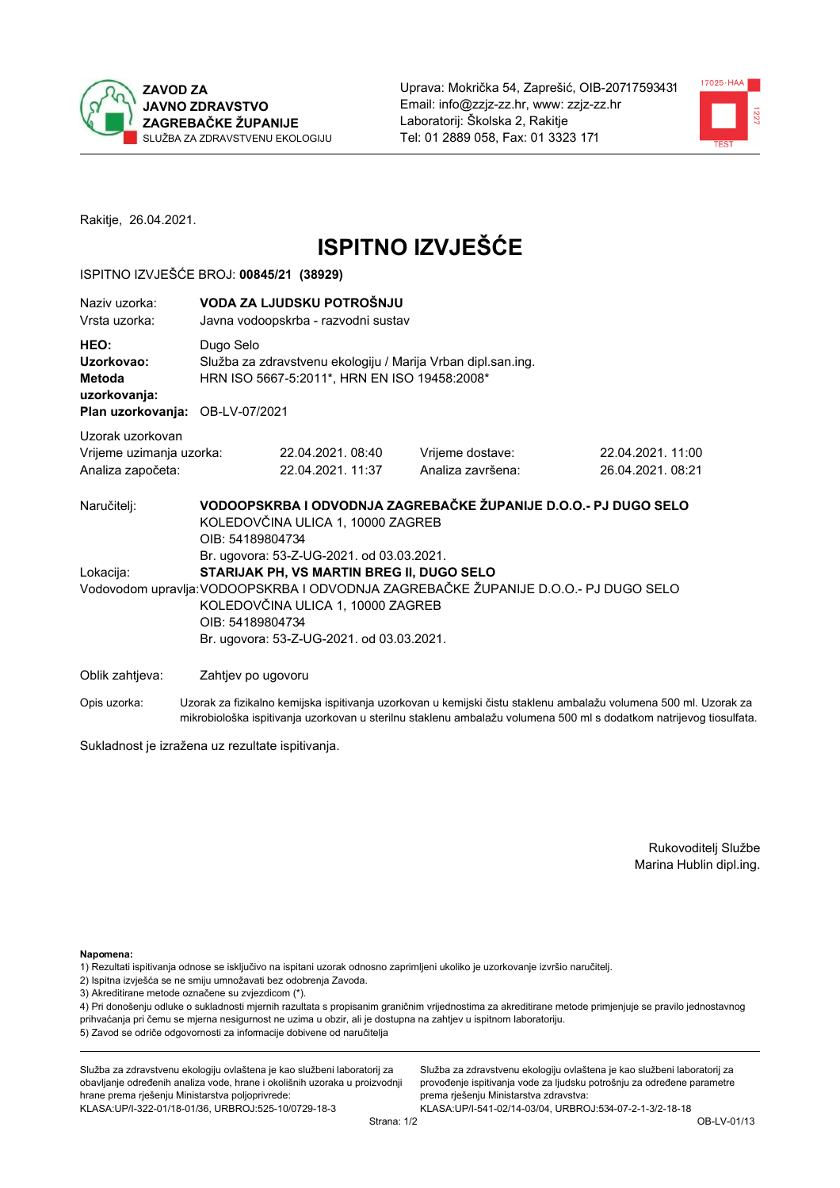



Rakitje, 26.04.2021.

# **ISPITNO IZVJEŠĆE**

### ISPITNO IZVJEŠĆE BROJ: 00845/21 (38929)

| Naziv uzorka:<br>Vrsta uzorka:                                                  | VODA ZA LJUDSKU POTROŠNJU<br>Javna vodoopskrba - razvodni sustav |                                                                                                                                                                                                                                                                                                                                                |                                       |                                      |  |  |
|---------------------------------------------------------------------------------|------------------------------------------------------------------|------------------------------------------------------------------------------------------------------------------------------------------------------------------------------------------------------------------------------------------------------------------------------------------------------------------------------------------------|---------------------------------------|--------------------------------------|--|--|
| HEO:<br>Uzorkovao:<br>Metoda<br>uzorkovanja:<br>Plan uzorkovanja: OB-LV-07/2021 | Dugo Selo                                                        | Služba za zdravstvenu ekologiju / Marija Vrban dipl.san.ing.<br>HRN ISO 5667-5:2011*, HRN EN ISO 19458:2008*                                                                                                                                                                                                                                   |                                       |                                      |  |  |
| Uzorak uzorkovan<br>Vrijeme uzimanja uzorka:<br>Analiza započeta:               |                                                                  | 22.04.2021.08:40<br>22.04.2021. 11:37                                                                                                                                                                                                                                                                                                          | Vrijeme dostave:<br>Analiza završena: | 22.04.2021.11:00<br>26.04.2021.08:21 |  |  |
| Naručitelj:<br>Lokacija:                                                        |                                                                  | VODOOPSKRBA I ODVODNJA ZAGREBAČKE ŽUPANIJE D.O.O.- PJ DUGO SELO<br>KOLEDOVČINA ULICA 1, 10000 ZAGREB<br>OIB: 54189804734<br>Br. ugovora: 53-Z-UG-2021. od 03.03.2021.<br>STARIJAK PH, VS MARTIN BREG II, DUGO SELO<br>Vodovodom upravlja: VODOOPSKRBA I ODVODNJA ZAGREBAČKE ŽUPANIJE D.O.O.- PJ DUGO SELO<br>KOLEDOVČINA ULICA 1, 10000 ZAGREB |                                       |                                      |  |  |
|                                                                                 | OIB: 54189804734                                                 | Br. ugovora: 53-Z-UG-2021. od 03.03.2021.                                                                                                                                                                                                                                                                                                      |                                       |                                      |  |  |
| Oblik zahtjeva:                                                                 | Zahtjev po ugovoru                                               |                                                                                                                                                                                                                                                                                                                                                |                                       |                                      |  |  |
|                                                                                 |                                                                  |                                                                                                                                                                                                                                                                                                                                                |                                       |                                      |  |  |

Opis uzorka: Uzorak za fizikalno kemijska ispitivanja uzorkovan u kemijski čistu staklenu ambalažu volumena 500 ml. Uzorak za mikrobiološka ispitivanja uzorkovan u sterilnu staklenu ambalažu volumena 500 ml s dodatkom natrijevog tiosulfata.

Sukladnost je izražena uz rezultate ispitivanja.

Rukovoditelj Službe Marina Hublin dipl.ing.

Napomena:

1) Rezultati ispitivanja odnose se isključivo na ispitani uzorak odnosno zaprimljeni ukoliko je uzorkovanje izvršio naručitelj.

- 2) Ispitna izvješća se ne smiju umnožavati bez odobrenja Zavoda.
- 3) Akreditirane metode označene su zvjezdicom (\*).

4) Pri donošenju odluke o sukladnosti mjernih razultata s propisanim graničnim vrijednostima za akreditirane metode primjenjuje se pravilo jednostavnog prihvaćanja pri čemu se mjerna nesigurnost ne uzima u obzir, ali je dostupna na zahtjev u ispitnom laboratoriju. 5) Zavod se odriče odgovornosti za informacije dobivene od naručitelja

Služba za zdravstvenu ekologiju ovlaštena je kao službeni laboratorij za obavljanje određenih analiza vode, hrane i okolišnih uzoraka u proizvodnji hrane prema rješenju Ministarstva poljoprivrede: KLASA:UP/I-322-01/18-01/36, URBROJ:525-10/0729-18-3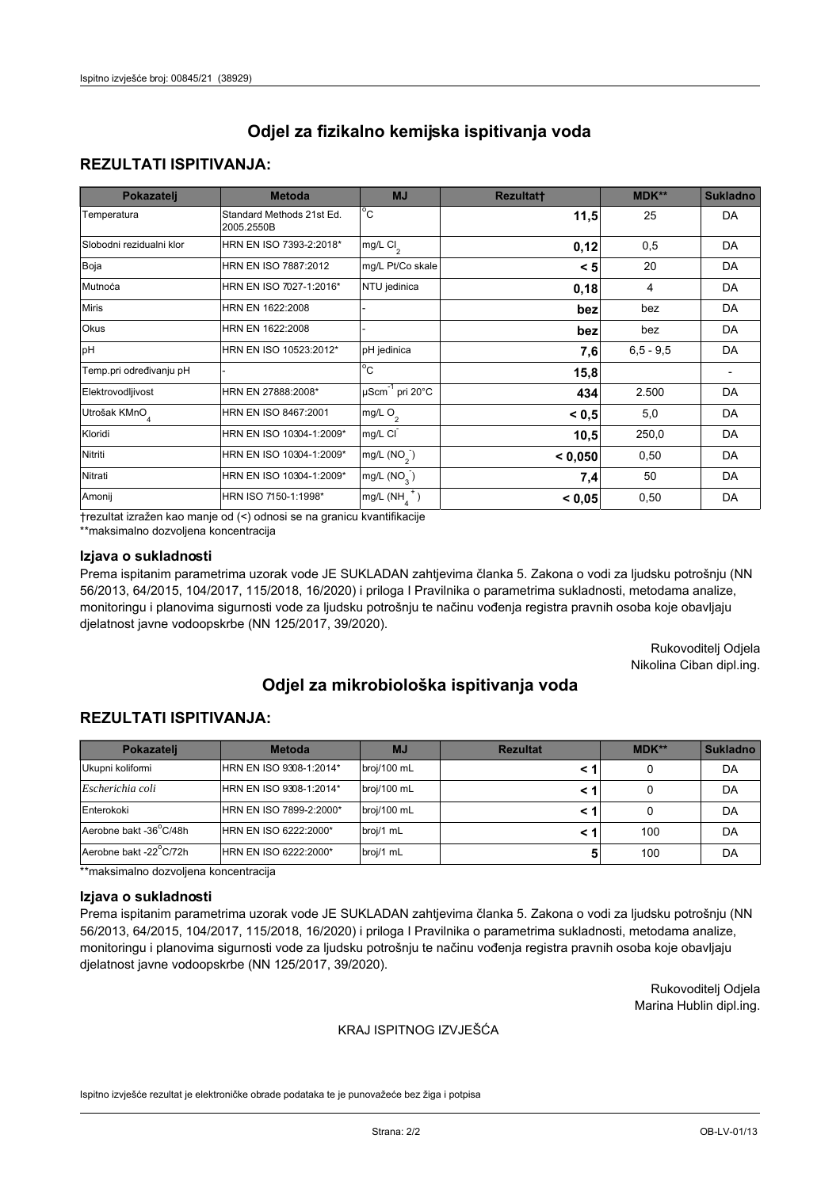## **REZULTATI ISPITIVANJA:**

| Pokazatelj                | <b>Metoda</b>                           | <b>MJ</b>                        | <b>Rezultatt</b> | MDK**       | <b>Sukladno</b> |
|---------------------------|-----------------------------------------|----------------------------------|------------------|-------------|-----------------|
| Temperatura               | Standard Methods 21st Ed.<br>2005.2550B | $^{\circ}$ C                     | 11,5             | 25          | DA              |
| Slobodni rezidualni klor  | HRN EN ISO 7393-2:2018*                 | mg/L $Cl2$                       | 0,12             | 0,5         | DA              |
| Boja                      | HRN EN ISO 7887:2012                    | mg/L Pt/Co skale                 | < 5              | 20          | DA              |
| Mutnoća                   | HRN EN ISO 7027-1:2016*                 | NTU jedinica                     | 0,18             | 4           | DA              |
| <b>Miris</b>              | HRN EN 1622:2008                        |                                  | bez              | bez         | DA              |
| Okus                      | HRN EN 1622:2008                        |                                  | bez              | bez         | DA              |
| pH                        | HRN EN ISO 10523:2012*                  | pH jedinica                      | 7,6              | $6,5 - 9,5$ | DA              |
| Temp.pri određivanju pH   |                                         | $\overline{c}$                   | 15,8             |             |                 |
| Elektrovodljivost         | HRN EN 27888:2008*                      | $\mu$ Scm <sup>-1</sup> pri 20°C | 434              | 2.500       | DA              |
| Utrošak KMnO <sub>4</sub> | HRN EN ISO 8467:2001                    | mg/L O <sub>2</sub>              | < 0.5            | 5,0         | DA              |
| Kloridi                   | HRN EN ISO 10304-1:2009*                | mg/L CI                          | 10,5             | 250,0       | DA              |
| Nitriti                   | HRN EN ISO 10304-1:2009*                | mg/L $(NO2)$                     | < 0,050          | 0,50        | DA              |
| Nitrati                   | HRN EN ISO 10304-1:2009*                | mg/L $(NO3)$                     | 7,4              | 50          | DA              |
| Amonij                    | HRN ISO 7150-1:1998*                    | mg/L $(NH_a^+)$                  | < 0,05           | 0,50        | DA              |

trezultat izražen kao manje od (<) odnosi se na granicu kvantifikacije

\*\*maksimalno dozvoljena koncentracija

## Izjava o sukladnosti

Prema ispitanim parametrima uzorak vode JE SUKLADAN zahtjevima članka 5. Zakona o vodi za ljudsku potrošnju (NN 56/2013, 64/2015, 104/2017, 115/2018, 16/2020) i priloga I Pravilnika o parametrima sukladnosti, metodama analize, monitoringu i planovima sigurnosti vode za ljudsku potrošnju te načinu vođenja registra pravnih osoba koje obavljaju djelatnost javne vodoopskrbe (NN 125/2017, 39/2020).

> Rukovoditelj Odjela Nikolina Ciban dipl.ing.

# Odjel za mikrobiološka ispitivanja voda

# **REZULTATI ISPITIVANJA:**

| Pokazateli             | <b>Metoda</b>           | <b>MJ</b>   | <b>Rezultat</b> | $MDK**$ | <b>Sukladno</b> |
|------------------------|-------------------------|-------------|-----------------|---------|-----------------|
| Ukupni kolifomi        | HRN EN ISO 9308-1:2014* | broj/100 mL |                 |         | DA              |
| Escherichia coli       | HRN EN ISO 9308-1:2014* | broj/100 mL |                 |         | DA              |
| Enterokoki             | HRN EN ISO 7899-2:2000* | broj/100 mL |                 |         | DA              |
| Aerobne bakt -36°C/48h | HRN EN ISO 6222:2000*   | broj/1 mL   |                 | 100     | DA              |
| Aerobne bakt -22 C/72h | HRN EN ISO 6222:2000*   | broj/1 mL   |                 | 100     | DA              |

\*\*maksimalno dozvoljena koncentracija

#### Izjava o sukladnosti

Prema ispitanim parametrima uzorak vode JE SUKLADAN zahtjevima članka 5. Zakona o vodi za ljudsku potrošnju (NN 56/2013, 64/2015, 104/2017, 115/2018, 16/2020) i priloga I Pravilnika o parametrima sukladnosti, metodama analize, monitoringu i planovima sigurnosti vode za ljudsku potrošnju te načinu vođenja registra pravnih osoba koje obavljaju djelatnost javne vodoopskrbe (NN 125/2017, 39/2020).

> Rukovoditelj Odjela Marina Hublin dipl.ing.

#### KRAJ ISPITNOG IZVJEŠĆA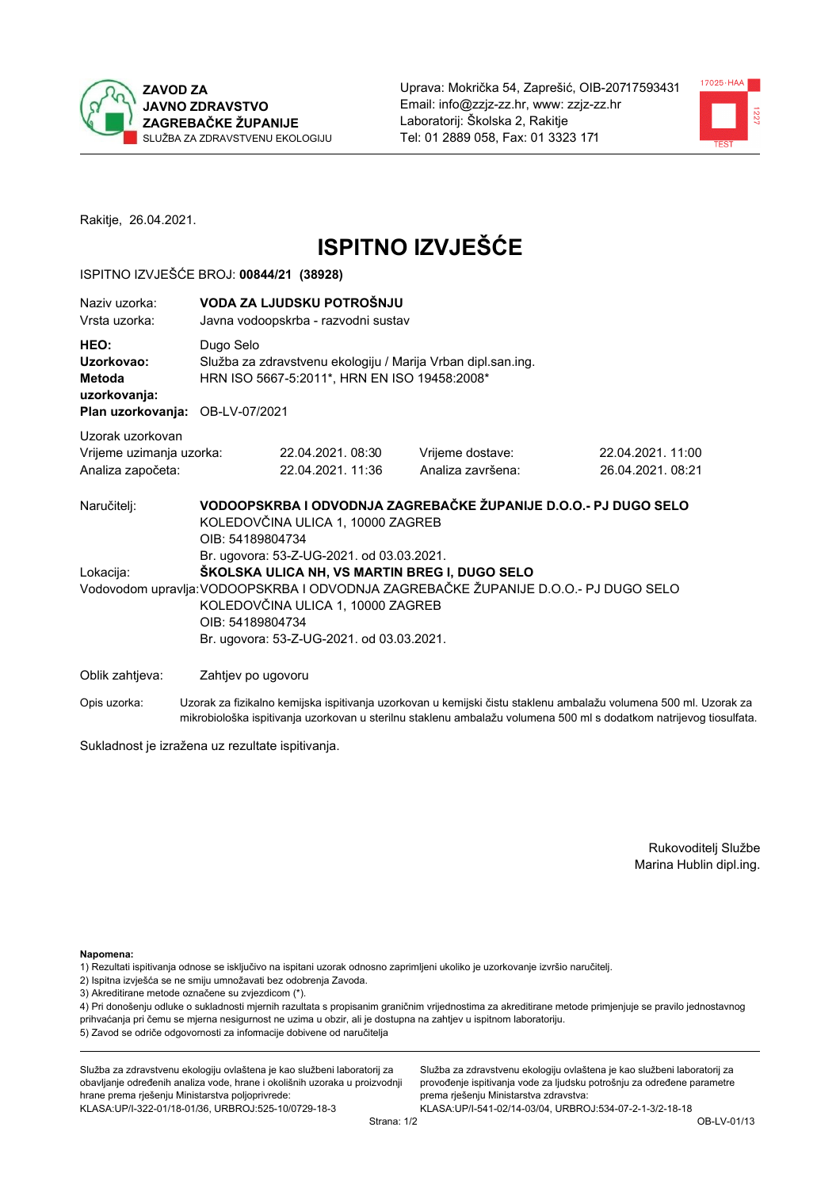



Rakitje, 26.04.2021.

# **ISPITNO IZVJEŠĆE**

### ISPITNO IZVJEŠĆE BROJ: 00844/21 (38928)

| Naziv uzorka:<br>Vrsta uzorka:                                                  | VODA ZA LJUDSKU POTROŠNJU<br>Javna vodoopskrba - razvodni sustav                                                                                                                                                                           |                                                                                                              |                                       |                                      |  |  |  |
|---------------------------------------------------------------------------------|--------------------------------------------------------------------------------------------------------------------------------------------------------------------------------------------------------------------------------------------|--------------------------------------------------------------------------------------------------------------|---------------------------------------|--------------------------------------|--|--|--|
| HEO:<br>Uzorkovao:<br>Metoda<br>uzorkovanja:<br>Plan uzorkovanja: OB-LV-07/2021 | Dugo Selo                                                                                                                                                                                                                                  | Služba za zdravstvenu ekologiju / Marija Vrban dipl.san.ing.<br>HRN ISO 5667-5:2011*, HRN EN ISO 19458:2008* |                                       |                                      |  |  |  |
| Uzorak uzorkovan<br>Vrijeme uzimanja uzorka:<br>Analiza započeta:               |                                                                                                                                                                                                                                            | 22.04.2021.08:30<br>22.04.2021, 11:36                                                                        | Vrijeme dostave:<br>Analiza završena: | 22.04.2021.11:00<br>26.04.2021.08:21 |  |  |  |
| Naručitelj:                                                                     | VODOOPSKRBA I ODVODNJA ZAGREBAČKE ŽUPANIJE D.O.O.- PJ DUGO SELO<br>KOLEDOVČINA ULICA 1, 10000 ZAGREB<br>OIB: 54189804734<br>Br. ugovora: 53-Z-UG-2021. od 03.03.2021.                                                                      |                                                                                                              |                                       |                                      |  |  |  |
| Lokacija:                                                                       | ŠKOLSKA ULICA NH, VS MARTIN BREG I, DUGO SELO<br>Vodovodom upravlja: VODOOPSKRBA I ODVODNJA ZAGREBAČKE ŽUPANIJE D.O.O.- PJ DUGO SELO<br>KOLEDOVČINA ULICA 1, 10000 ZAGREB<br>OIB: 54189804734<br>Br. ugovora: 53-Z-UG-2021. od 03.03.2021. |                                                                                                              |                                       |                                      |  |  |  |
| Oblik zahtjeva:                                                                 | Zahtjev po ugovoru                                                                                                                                                                                                                         |                                                                                                              |                                       |                                      |  |  |  |

Opis uzorka: Uzorak za fizikalno kemijska ispitivanja uzorkovan u kemijski čistu staklenu ambalažu volumena 500 ml. Uzorak za mikrobiološka ispitivanja uzorkovan u sterilnu staklenu ambalažu volumena 500 ml s dodatkom natrijevog tiosulfata.

Sukladnost je izražena uz rezultate ispitivanja.

Rukovoditelj Službe Marina Hublin dipl.ing.

Napomena:

1) Rezultati ispitivanja odnose se isključivo na ispitani uzorak odnosno zaprimljeni ukoliko je uzorkovanje izvršio naručitelj.

- 2) Ispitna izvješća se ne smiju umnožavati bez odobrenja Zavoda.
- 3) Akreditirane metode označene su zvjezdicom (\*).

4) Pri donošenju odluke o sukladnosti mjernih razultata s propisanim graničnim vrijednostima za akreditirane metode primjenjuje se pravilo jednostavnog prihvaćanja pri čemu se mjerna nesigurnost ne uzima u obzir, ali je dostupna na zahtjev u ispitnom laboratoriju. 5) Zavod se odriče odgovornosti za informacije dobivene od naručitelja

Služba za zdravstvenu ekologiju ovlaštena je kao službeni laboratorij za obavljanje određenih analiza vode, hrane i okolišnih uzoraka u proizvodnji hrane prema rješenju Ministarstva poljoprivrede: KLASA: UP/I-322-01/18-01/36, URBROJ: 525-10/0729-18-3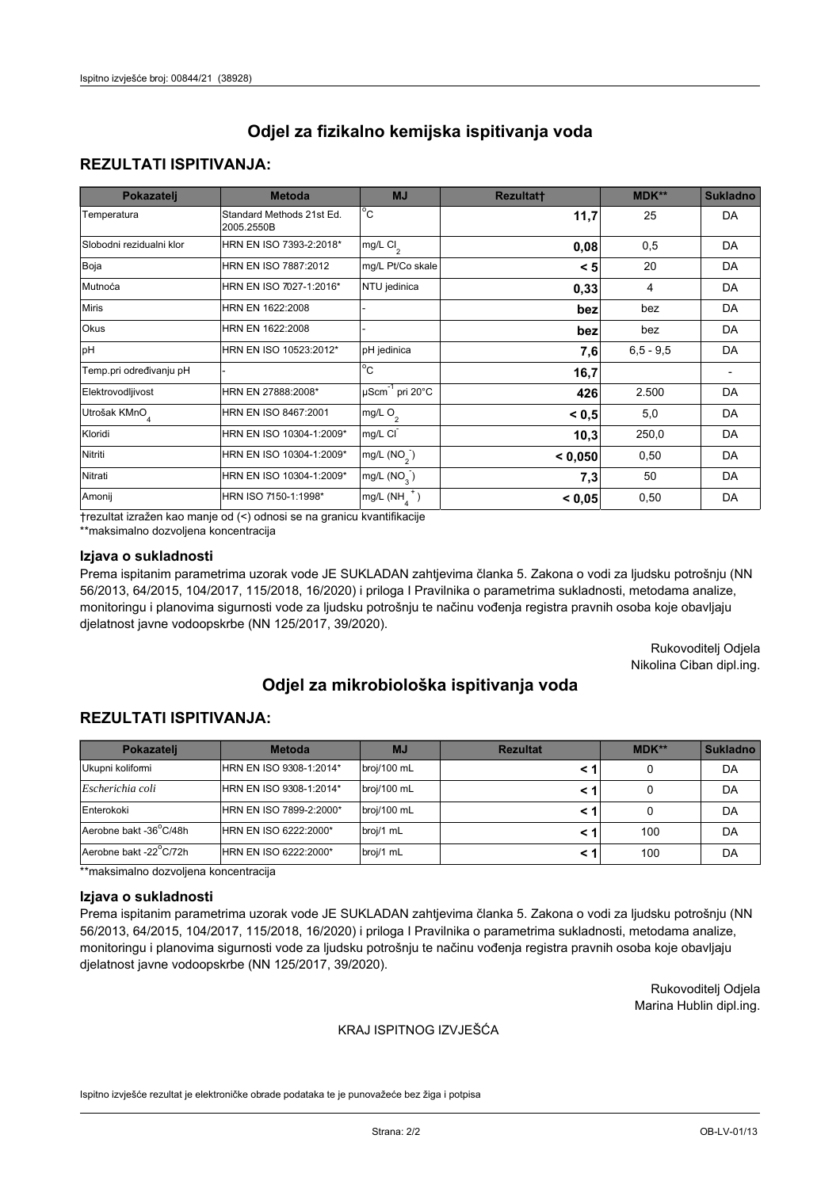# **REZULTATI ISPITIVANJA:**

| Pokazatelj                | <b>Metoda</b>                           | <b>MJ</b>                        | <b>Rezultatt</b> | MDK**       | <b>Sukladno</b> |
|---------------------------|-----------------------------------------|----------------------------------|------------------|-------------|-----------------|
| Temperatura               | Standard Methods 21st Ed.<br>2005.2550B | $^{\circ}$ C                     | 11,7             | 25          | DA              |
| Slobodni rezidualni klor  | HRN EN ISO 7393-2:2018*                 | mg/L $Cl2$                       | 0,08             | 0,5         | DA              |
| Boja                      | HRN EN ISO 7887:2012                    | mg/L Pt/Co skale                 | < 5              | 20          | DA              |
| Mutnoća                   | HRN EN ISO 7027-1:2016*                 | NTU jedinica                     | 0,33             | 4           | DA              |
| <b>Miris</b>              | HRN EN 1622:2008                        |                                  | bez              | bez         | DA              |
| Okus                      | HRN EN 1622:2008                        |                                  | bez              | bez         | DA              |
| pH                        | HRN EN ISO 10523:2012*                  | pH jedinica                      | 7,6              | $6,5 - 9,5$ | DA              |
| Temp.pri određivanju pH   |                                         | $\overline{c}$                   | 16,7             |             |                 |
| Elektrovodljivost         | HRN EN 27888:2008*                      | $\mu$ Scm <sup>-1</sup> pri 20°C | 426              | 2.500       | DA              |
| Utrošak KMnO <sub>4</sub> | HRN EN ISO 8467:2001                    | mg/L O <sub>2</sub>              | < 0.5            | 5,0         | DA              |
| Kloridi                   | HRN EN ISO 10304-1:2009*                | mg/L CI                          | 10,3             | 250,0       | DA              |
| Nitriti                   | HRN EN ISO 10304-1:2009*                | mg/L $(NO2)$                     | < 0,050          | 0,50        | DA              |
| Nitrati                   | HRN EN ISO 10304-1:2009*                | mg/L (NO <sub>3</sub> )          | 7,3              | 50          | DA              |
| Amonij                    | HRN ISO 7150-1:1998*                    | $mg/L(NH_A^+)$                   | < 0,05           | 0,50        | DA              |

trezultat izražen kao manje od (<) odnosi se na granicu kvantifikacije

\*\*maksimalno dozvoljena koncentracija

## Izjava o sukladnosti

Prema ispitanim parametrima uzorak vode JE SUKLADAN zahtjevima članka 5. Zakona o vodi za ljudsku potrošnju (NN 56/2013, 64/2015, 104/2017, 115/2018, 16/2020) i priloga I Pravilnika o parametrima sukladnosti, metodama analize, monitoringu i planovima sigurnosti vode za ljudsku potrošnju te načinu vođenja registra pravnih osoba koje obavljaju djelatnost javne vodoopskrbe (NN 125/2017, 39/2020).

> Rukovoditelj Odjela Nikolina Ciban dipl.ing.

# Odjel za mikrobiološka ispitivanja voda

## **REZULTATI ISPITIVANJA:**

| Pokazatelj             | <b>Metoda</b>           | <b>MJ</b>   | <b>Rezultat</b> | MDK** | <b>Sukladno</b> |
|------------------------|-------------------------|-------------|-----------------|-------|-----------------|
| Ukupni koliformi       | HRN EN ISO 9308-1:2014* | broj/100 mL |                 |       | DA              |
| Escherichia coli       | HRN EN ISO 9308-1:2014* | broj/100 mL |                 |       | DA              |
| Enterokoki             | HRN EN ISO 7899-2:2000* | broj/100 mL |                 |       | DA              |
| Aerobne bakt -36°C/48h | HRN EN ISO 6222:2000*   | broj/1 mL   |                 | 100   | DA              |
| Aerobne bakt -22°C/72h | HRN EN ISO 6222:2000*   | broj/1 mL   |                 | 100   | DA              |

\*\*maksimalno dozvoljena koncentracija

#### Izjava o sukladnosti

Prema ispitanim parametrima uzorak vode JE SUKLADAN zahtjevima članka 5. Zakona o vodi za ljudsku potrošnju (NN 56/2013, 64/2015, 104/2017, 115/2018, 16/2020) i priloga I Pravilnika o parametrima sukladnosti, metodama analize, monitoringu i planovima sigurnosti vode za ljudsku potrošnju te načinu vođenja registra pravnih osoba koje obavljaju djelatnost javne vodoopskrbe (NN 125/2017, 39/2020).

> Rukovoditelj Odjela Marina Hublin dipl.ing.

#### KRAJ ISPITNOG IZVJEŠĆA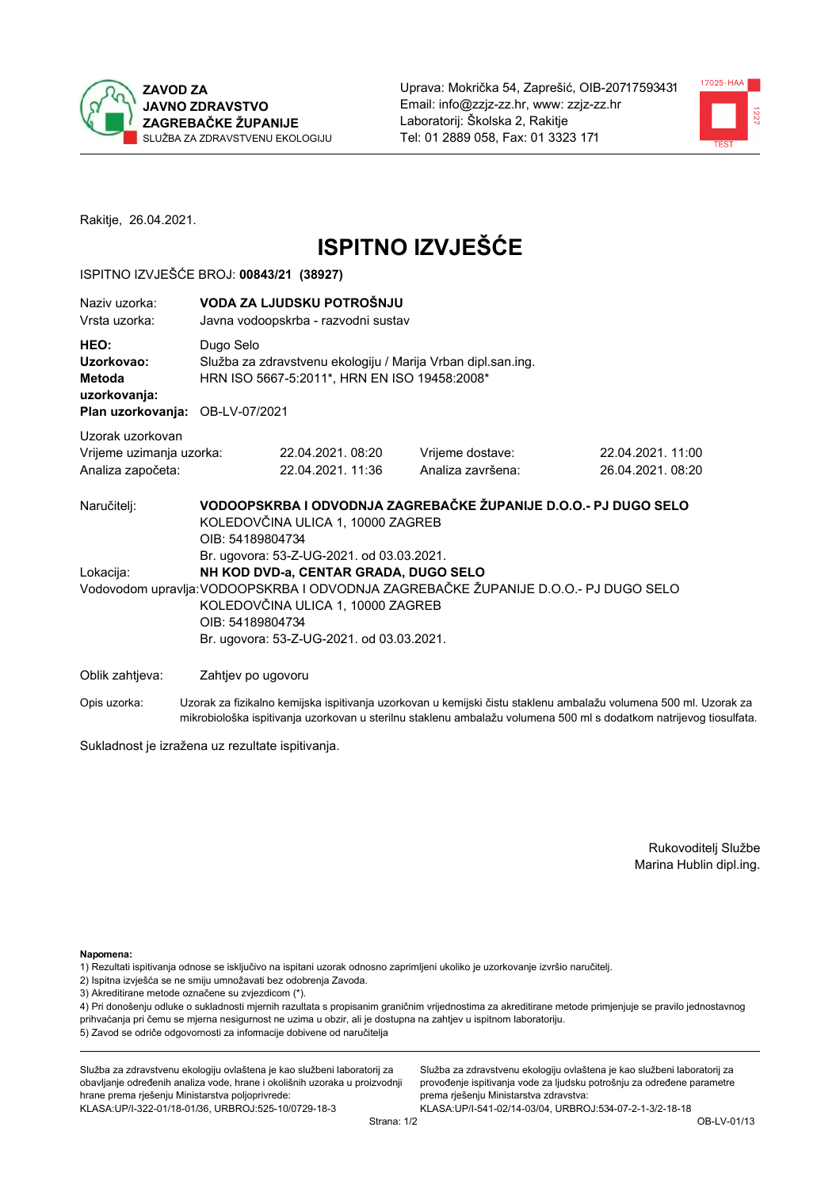



Rakitje, 26.04.2021.

# **ISPITNO IZVJEŠĆE**

### ISPITNO IZVJEŠĆE BROJ: 00843/21 (38927)

| Naziv uzorka:<br>Vrsta uzorka:                                                  | VODA ZA LJUDSKU POTROŠNJU<br>Javna vodoopskrba - razvodni sustav                                                                                                                                                                                                                                                                           |                                                                                                              |                                       |                                       |  |  |  |
|---------------------------------------------------------------------------------|--------------------------------------------------------------------------------------------------------------------------------------------------------------------------------------------------------------------------------------------------------------------------------------------------------------------------------------------|--------------------------------------------------------------------------------------------------------------|---------------------------------------|---------------------------------------|--|--|--|
| HEO:<br>Uzorkovao:<br>Metoda<br>uzorkovanja:<br>Plan uzorkovanja: OB-LV-07/2021 | Dugo Selo                                                                                                                                                                                                                                                                                                                                  | Služba za zdravstvenu ekologiju / Marija Vrban dipl.san.ing.<br>HRN ISO 5667-5:2011*, HRN EN ISO 19458:2008* |                                       |                                       |  |  |  |
| Uzorak uzorkovan<br>Vrijeme uzimanja uzorka:<br>Analiza započeta:               |                                                                                                                                                                                                                                                                                                                                            | 22.04.2021.08:20<br>22.04.2021, 11:36                                                                        | Vrijeme dostave:<br>Analiza završena: | 22.04.2021.11:00<br>26.04.2021, 08:20 |  |  |  |
| Naručitelj:<br>Lokacija:                                                        | VODOOPSKRBA I ODVODNJA ZAGREBAČKE ŽUPANIJE D.O.O.- PJ DUGO SELO<br>KOLEDOVČINA ULICA 1, 10000 ZAGREB<br>OIB: 54189804734<br>Br. ugovora: 53-Z-UG-2021. od 03.03.2021.<br>NH KOD DVD-a, CENTAR GRADA, DUGO SELO<br>Vodovodom upravlja: VODOOPSKRBA I ODVODNJA ZAGREBAČKE ŽUPANIJE D.O.O.- PJ DUGO SELO<br>KOLEDOVČINA ULICA 1, 10000 ZAGREB |                                                                                                              |                                       |                                       |  |  |  |
| Oblik zahtjeva:                                                                 | OIB: 54189804734<br>Zahtjev po ugovoru                                                                                                                                                                                                                                                                                                     | Br. ugovora: 53-Z-UG-2021. od 03.03.2021.                                                                    |                                       |                                       |  |  |  |

Opis uzorka: Uzorak za fizikalno kemijska ispitivanja uzorkovan u kemijski čistu staklenu ambalažu volumena 500 ml. Uzorak za mikrobiološka ispitivanja uzorkovan u sterilnu staklenu ambalažu volumena 500 ml s dodatkom natrijevog tiosulfata.

Sukladnost je izražena uz rezultate ispitivanja.

Rukovoditelj Službe Marina Hublin dipl.ing.

Napomena:

- 1) Rezultati ispitivanja odnose se isključivo na ispitani uzorak odnosno zaprimljeni ukoliko je uzorkovanje izvršio naručitelj.
- 2) Ispitna izvješća se ne smiju umnožavati bez odobrenja Zavoda.
- 3) Akreditirane metode označene su zvjezdicom (\*).

4) Pri donošenju odluke o sukladnosti mjernih razultata s propisanim graničnim vrijednostima za akreditirane metode primjenjuje se pravilo jednostavnog prihvaćanja pri čemu se mjerna nesigurnost ne uzima u obzir, ali je dostupna na zahtjev u ispitnom laboratoriju. 5) Zavod se odriče odgovornosti za informacije dobivene od naručitelja

Služba za zdravstvenu ekologiju ovlaštena je kao službeni laboratorij za obavljanje određenih analiza vode, hrane i okolišnih uzoraka u proizvodnji hrane prema rješenju Ministarstva poljoprivrede: KLASA: UP/I-322-01/18-01/36, URBROJ: 525-10/0729-18-3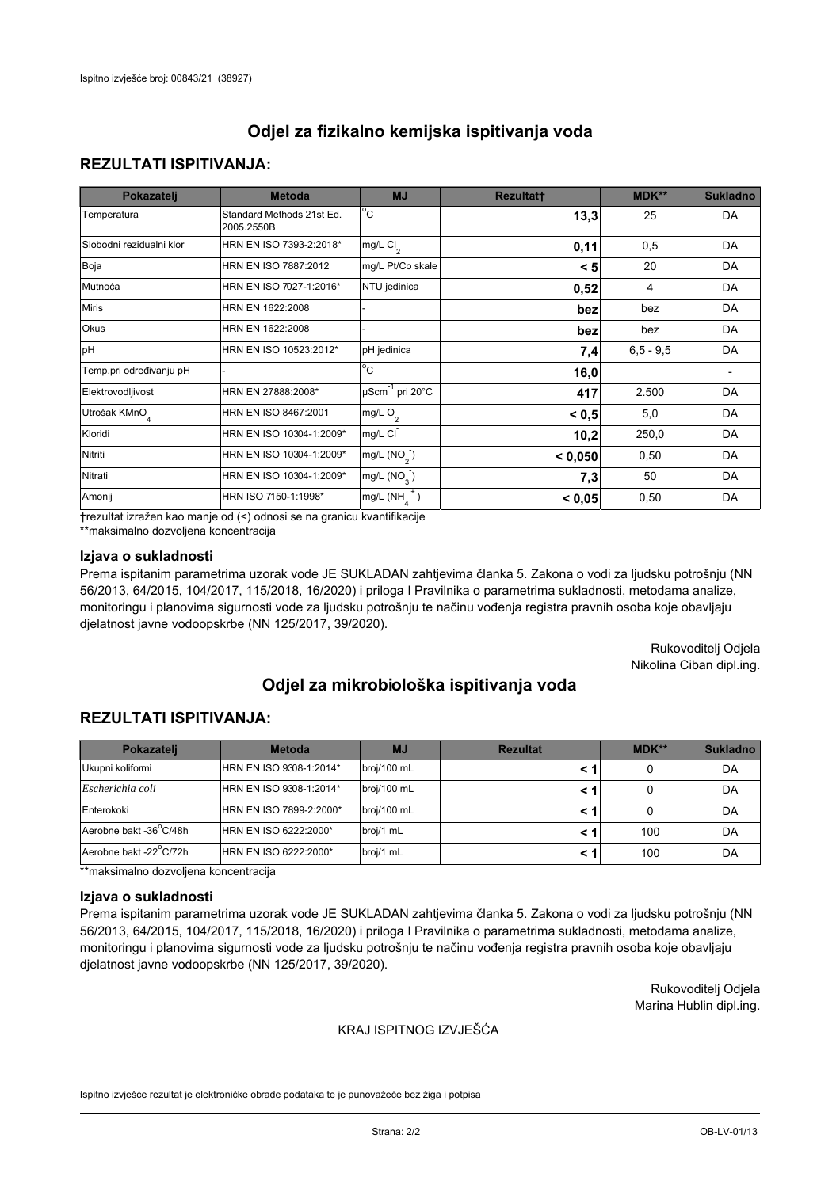## **REZULTATI ISPITIVANJA:**

| Pokazatelj                | <b>Metoda</b>                           | <b>MJ</b>                        | <b>Rezultatt</b> | MDK**       | <b>Sukladno</b> |
|---------------------------|-----------------------------------------|----------------------------------|------------------|-------------|-----------------|
| Temperatura               | Standard Methods 21st Ed.<br>2005.2550B | $^{\circ}$ C                     | 13,3             | 25          | DA              |
| Slobodni rezidualni klor  | HRN EN ISO 7393-2:2018*                 | mg/L $Cl2$                       | 0,11             | 0,5         | DA              |
| Boja                      | HRN EN ISO 7887:2012                    | mg/L Pt/Co skale                 | < 5              | 20          | DA              |
| Mutnoća                   | HRN EN ISO 7027-1:2016*                 | NTU jedinica                     | 0,52             | 4           | DA              |
| <b>Miris</b>              | HRN EN 1622:2008                        |                                  | bez              | bez         | DA              |
| Okus                      | HRN EN 1622:2008                        |                                  | bez              | bez         | DA              |
| pH                        | HRN EN ISO 10523:2012*                  | pH jedinica                      | 7,4              | $6,5 - 9,5$ | DA              |
| Temp.pri određivanju pH   |                                         | $\overline{c}$                   | 16,0             |             |                 |
| Elektrovodljivost         | HRN EN 27888:2008*                      | $\mu$ Scm <sup>-1</sup> pri 20°C | 417              | 2.500       | DA              |
| Utrošak KMnO <sub>4</sub> | HRN EN ISO 8467:2001                    | mg/L O <sub>2</sub>              | < 0.5            | 5,0         | DA              |
| Kloridi                   | HRN EN ISO 10304-1:2009*                | mg/L CI                          | 10,2             | 250,0       | DA              |
| Nitriti                   | HRN EN ISO 10304-1:2009*                | mg/L $(NO2)$                     | < 0,050          | 0,50        | DA              |
| Nitrati                   | HRN EN ISO 10304-1:2009*                | mg/L $(NO3)$                     | 7,3              | 50          | DA              |
| Amonij                    | HRN ISO 7150-1:1998*                    | mg/L $(NH_a^+)$                  | < 0,05           | 0,50        | DA              |

trezultat izražen kao manje od (<) odnosi se na granicu kvantifikacije

\*\*maksimalno dozvoljena koncentracija

## Izjava o sukladnosti

Prema ispitanim parametrima uzorak vode JE SUKLADAN zahtjevima članka 5. Zakona o vodi za ljudsku potrošnju (NN 56/2013, 64/2015, 104/2017, 115/2018, 16/2020) i priloga I Pravilnika o parametrima sukladnosti, metodama analize, monitoringu i planovima sigurnosti vode za ljudsku potrošnju te načinu vođenja registra pravnih osoba koje obavljaju djelatnost javne vodoopskrbe (NN 125/2017, 39/2020).

> Rukovoditelj Odjela Nikolina Ciban dipl.ing.

# Odjel za mikrobiološka ispitivanja voda

# **REZULTATI ISPITIVANJA:**

| Pokazateli             | <b>Metoda</b>           | <b>MJ</b>   | <b>Rezultat</b> | MDK** | <b>Sukladno</b> |
|------------------------|-------------------------|-------------|-----------------|-------|-----------------|
| Ukupni kolifomi        | HRN EN ISO 9308-1:2014* | broj/100 mL |                 |       | DA              |
| Escherichia coli       | HRN EN ISO 9308-1:2014* | broj/100 mL |                 |       | DA              |
| Enterokoki             | HRN EN ISO 7899-2:2000* | broj/100 mL |                 |       | DA              |
| Aerobne bakt -36°C/48h | IHRN EN ISO 6222:2000*  | broj/1 mL   |                 | 100   | DA              |
| Aerobne bakt -22°C/72h | HRN EN ISO 6222:2000*   | broj/1 mL   |                 | 100   | DA              |

\*\*maksimalno dozvoljena koncentracija

#### Izjava o sukladnosti

Prema ispitanim parametrima uzorak vode JE SUKLADAN zahtjevima članka 5. Zakona o vodi za ljudsku potrošnju (NN 56/2013, 64/2015, 104/2017, 115/2018, 16/2020) i priloga I Pravilnika o parametrima sukladnosti, metodama analize, monitoringu i planovima sigurnosti vode za ljudsku potrošnju te načinu vođenja registra pravnih osoba koje obavljaju djelatnost javne vodoopskrbe (NN 125/2017, 39/2020).

> Rukovoditelj Odjela Marina Hublin dipl.ing.

#### KRAJ ISPITNOG IZVJEŠĆA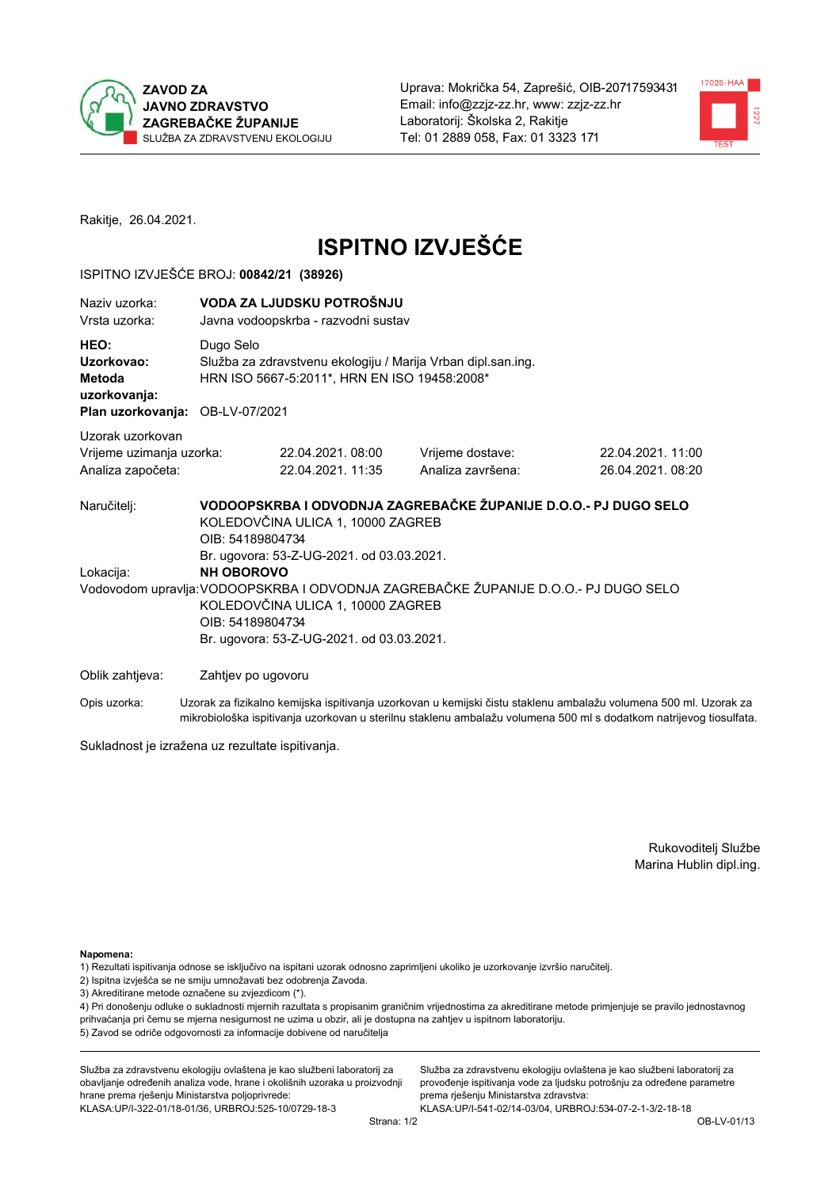



Rakitje, 26.04.2021.

# **ISPITNO IZVJEŠĆE**

### ISPITNO IZVJEŠĆE BROJ: 00842/21 (38926)

| Naziv uzorka:<br>Vrsta uzorka:                                                  |                   | VODA ZA LJUDSKU POTROŠNJU<br>Javna vodoopskrba - razvodni sustav                                                                                                      |                                                                                     |                                                                                                                  |  |  |  |  |
|---------------------------------------------------------------------------------|-------------------|-----------------------------------------------------------------------------------------------------------------------------------------------------------------------|-------------------------------------------------------------------------------------|------------------------------------------------------------------------------------------------------------------|--|--|--|--|
| HEO:<br>Uzorkovao:<br>Metoda<br>uzorkovanja:<br>Plan uzorkovanja: OB-LV-07/2021 |                   | Dugo Selo<br>Služba za zdravstvenu ekologiju / Marija Vrban dipl.san.ing.<br>HRN ISO 5667-5:2011*, HRN EN ISO 19458:2008*                                             |                                                                                     |                                                                                                                  |  |  |  |  |
| Uzorak uzorkovan<br>Vrijeme uzimanja uzorka:<br>Analiza započeta:               |                   | 22.04.2021, 08:00<br>22.04.2021.11:35                                                                                                                                 | Vrijeme dostave:<br>Analiza završena:                                               | 22.04.2021.11:00<br>26.04.2021.08:20                                                                             |  |  |  |  |
| Naručitelj:                                                                     |                   | VODOOPSKRBA I ODVODNJA ZAGREBAČKE ŽUPANIJE D.O.O.- PJ DUGO SELO<br>KOLEDOVČINA ULICA 1, 10000 ZAGREB<br>OIB: 54189804734<br>Br. ugovora: 53-Z-UG-2021. od 03.03.2021. |                                                                                     |                                                                                                                  |  |  |  |  |
| Lokacija:                                                                       | <b>NH OBOROVO</b> | KOLEDOVČINA ULICA 1, 10000 ZAGREB<br>OIB: 54189804734<br>Br. ugovora: 53-Z-UG-2021. od 03.03.2021.                                                                    | Vodovodom upravlja: VODOOPSKRBA I ODVODNJA ZAGREBAČKE ŽUPANIJE D.O.O.- PJ DUGO SELO |                                                                                                                  |  |  |  |  |
| Oblik zahtjeva:                                                                 |                   | Zahtjev po ugovoru                                                                                                                                                    |                                                                                     |                                                                                                                  |  |  |  |  |
| Opis uzorka:                                                                    |                   |                                                                                                                                                                       |                                                                                     | Uzorak za fizikalno kemijska ispitivanja uzorkovan u kemijski čistu staklenu ambalažu volumena 500 ml. Uzorak za |  |  |  |  |

Sukladnost je izražena uz rezultate ispitivanja.

Rukovoditelj Službe Marina Hublin dipl.ing.

Napomena:

1) Rezultati ispitivanja odnose se isključivo na ispitani uzorak odnosno zaprimljeni ukoliko je uzorkovanje izvršio naručitelj.

- 2) Ispitna izvješća se ne smiju umnožavati bez odobrenja Zavoda.
- 3) Akreditirane metode označene su zvjezdicom (\*).

4) Pri donošenju odluke o sukladnosti mjernih razultata s propisanim graničnim vrijednostima za akreditirane metode primjenjuje se pravilo jednostavnog prihvaćanja pri čemu se mjerna nesigurnost ne uzima u obzir, ali je dostupna na zahtjev u ispitnom laboratoriju. 5) Zavod se odriče odgovornosti za informacije dobivene od naručitelja

Služba za zdravstvenu ekologiju ovlaštena je kao službeni laboratorij za obavljanje određenih analiza vode, hrane i okolišnih uzoraka u proizvodnji hrane prema rješenju Ministarstva poljoprivrede: KLASA:UP/I-322-01/18-01/36, URBROJ:525-10/0729-18-3

Služba za zdravstvenu ekologiju ovlaštena je kao službeni laboratorij za provođenje ispitivanja vode za ljudsku potrošnju za određene parametre prema rješenju Ministarstva zdravstva: KLASA:UP/I-541-02/14-03/04, URBROJ:534-07-2-1-3/2-18-18

mikrobiološka ispitivanja uzorkovan u sterilnu staklenu ambalažu volumena 500 ml s dodatkom natrijevog tiosulfata.